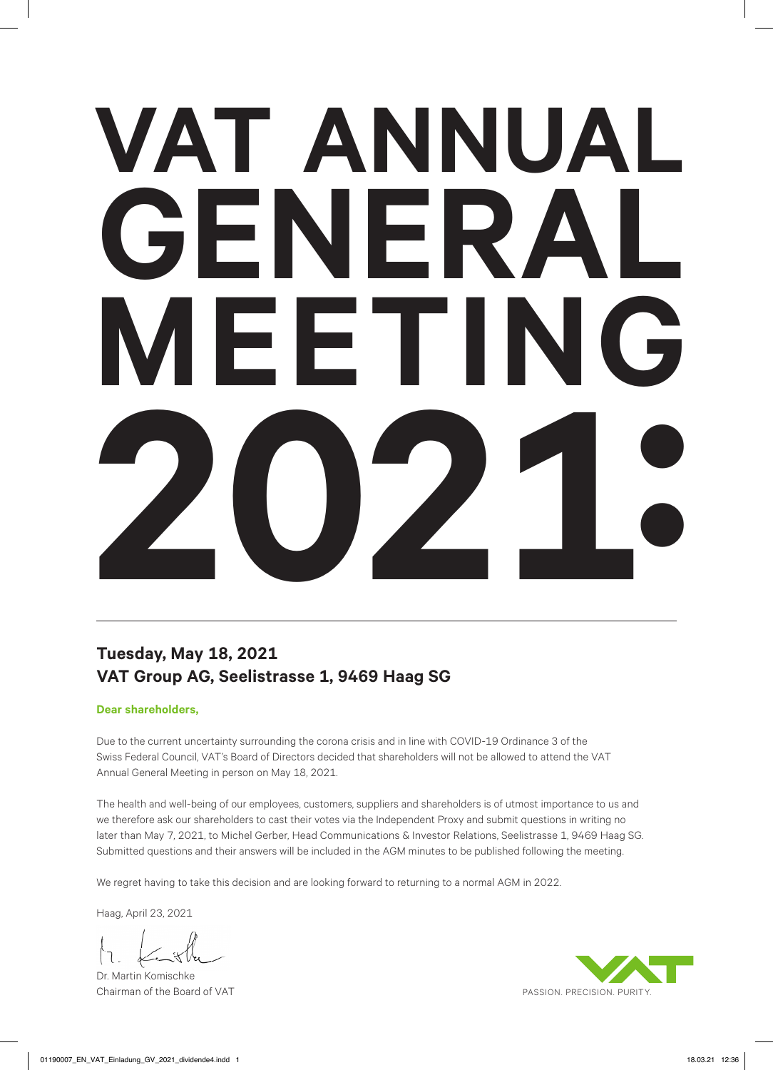# **VAT ANNUAL GENERAL MEETING 2021:**

### **Tuesday, May 18, 2021 VAT Group AG, Seelistrasse 1, 9469 Haag SG**

#### **Dear shareholders,**

Due to the current uncertainty surrounding the corona crisis and in line with COVID-19 Ordinance 3 of the Swiss Federal Council, VAT's Board of Directors decided that shareholders will not be allowed to attend the VAT Annual General Meeting in person on May 18, 2021.

The health and well-being of our employees, customers, suppliers and shareholders is of utmost importance to us and we therefore ask our shareholders to cast their votes via the Independent Proxy and submit questions in writing no later than May 7, 2021, to Michel Gerber, Head Communications & Investor Relations, Seelistrasse 1, 9469 Haag SG. Submitted questions and their answers will be included in the AGM minutes to be published following the meeting.

We regret having to take this decision and are looking forward to returning to a normal AGM in 2022.

Haag, April 23, 2021

Dr. Martin Komischke Chairman of the Board of VAT

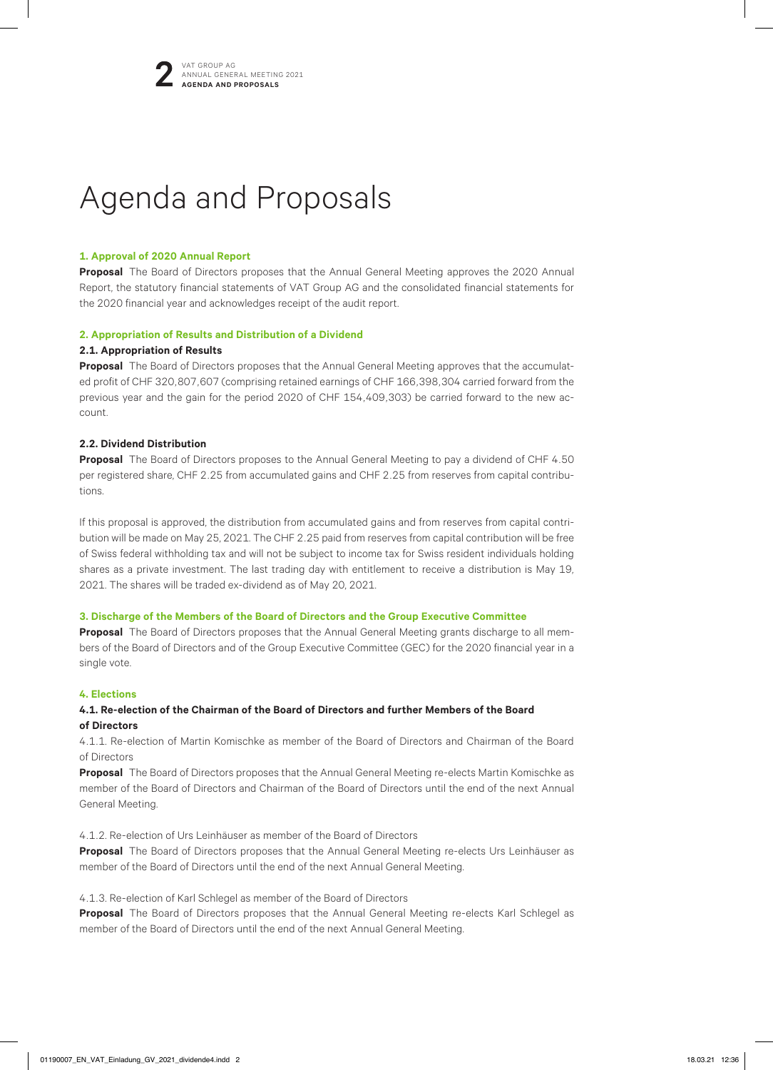

## Agenda and Proposals

#### **1. Approval of 2020 Annual Report**

**Proposal** The Board of Directors proposes that the Annual General Meeting approves the 2020 Annual Report, the statutory financial statements of VAT Group AG and the consolidated financial statements for the 2020 financial year and acknowledges receipt of the audit report.

#### **2. Appropriation of Results and Distribution of a Dividend**

#### **2.1. Appropriation of Results**

**Proposal** The Board of Directors proposes that the Annual General Meeting approves that the accumulated profit of CHF 320,807,607 (comprising retained earnings of CHF 166,398,304 carried forward from the previous year and the gain for the period 2020 of CHF 154,409,303) be carried forward to the new account.

#### **2.2. Dividend Distribution**

**Proposal** The Board of Directors proposes to the Annual General Meeting to pay a dividend of CHF 4.50 per registered share, CHF 2.25 from accumulated gains and CHF 2.25 from reserves from capital contributions.

If this proposal is approved, the distribution from accumulated gains and from reserves from capital contribution will be made on May 25, 2021. The CHF 2.25 paid from reserves from capital contribution will be free of Swiss federal withholding tax and will not be subject to income tax for Swiss resident individuals holding shares as a private investment. The last trading day with entitlement to receive a distribution is May 19, 2021. The shares will be traded ex-dividend as of May 20, 2021.

#### **3. Discharge of the Members of the Board of Directors and the Group Executive Committee**

**Proposal** The Board of Directors proposes that the Annual General Meeting grants discharge to all members of the Board of Directors and of the Group Executive Committee (GEC) for the 2020 financial year in a single vote.

#### **4. Elections**

#### **4.1. Re-election of the Chairman of the Board of Directors and further Members of the Board of Directors**

4.1.1. Re-election of Martin Komischke as member of the Board of Directors and Chairman of the Board of Directors

**Proposal** The Board of Directors proposes that the Annual General Meeting re-elects Martin Komischke as member of the Board of Directors and Chairman of the Board of Directors until the end of the next Annual General Meeting.

4.1.2. Re-election of Urs Leinhäuser as member of the Board of Directors

**Proposal** The Board of Directors proposes that the Annual General Meeting re-elects Urs Leinhäuser as member of the Board of Directors until the end of the next Annual General Meeting.

4.1.3. Re-election of Karl Schlegel as member of the Board of Directors

**Proposal** The Board of Directors proposes that the Annual General Meeting re-elects Karl Schlegel as member of the Board of Directors until the end of the next Annual General Meeting.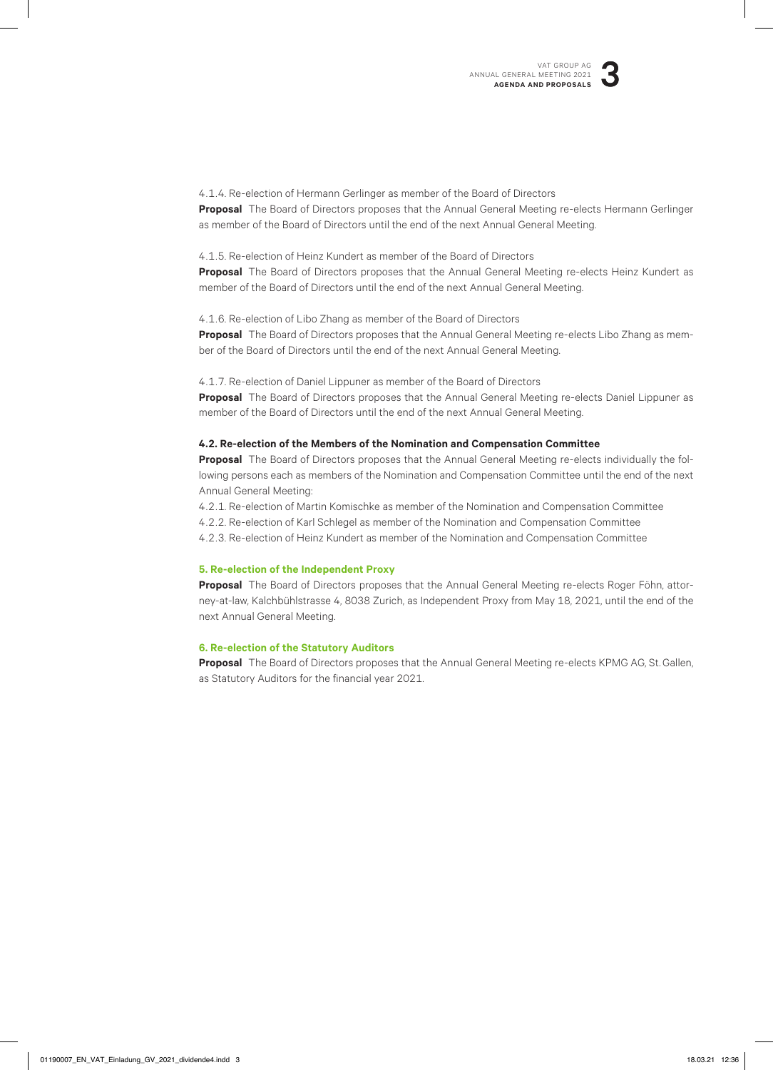

4.1.4. Re-election of Hermann Gerlinger as member of the Board of Directors **Proposal** The Board of Directors proposes that the Annual General Meeting re-elects Hermann Gerlinger as member of the Board of Directors until the end of the next Annual General Meeting.

#### 4.1.5. Re-election of Heinz Kundert as member of the Board of Directors

**Proposal** The Board of Directors proposes that the Annual General Meeting re-elects Heinz Kundert as member of the Board of Directors until the end of the next Annual General Meeting.

4.1.6. Re-election of Libo Zhang as member of the Board of Directors **Proposal** The Board of Directors proposes that the Annual General Meeting re-elects Libo Zhang as member of the Board of Directors until the end of the next Annual General Meeting.

4.1.7. Re-election of Daniel Lippuner as member of the Board of Directors **Proposal** The Board of Directors proposes that the Annual General Meeting re-elects Daniel Lippuner as member of the Board of Directors until the end of the next Annual General Meeting.

#### **4.2. Re-election of the Members of the Nomination and Compensation Committee**

**Proposal** The Board of Directors proposes that the Annual General Meeting re-elects individually the following persons each as members of the Nomination and Compensation Committee until the end of the next Annual General Meeting:

4.2.1. Re-election of Martin Komischke as member of the Nomination and Compensation Committee

4.2.2. Re-election of Karl Schlegel as member of the Nomination and Compensation Committee

4.2.3. Re-election of Heinz Kundert as member of the Nomination and Compensation Committee

#### **5. Re-election of the Independent Proxy**

**Proposal** The Board of Directors proposes that the Annual General Meeting re-elects Roger Föhn, attorney-at-law, Kalchbühlstrasse 4, 8038 Zurich, as Independent Proxy from May 18, 2021, until the end of the next Annual General Meeting.

#### **6. Re-election of the Statutory Auditors**

**Proposal** The Board of Directors proposes that the Annual General Meeting re-elects KPMG AG, St.Gallen, as Statutory Auditors for the financial year 2021.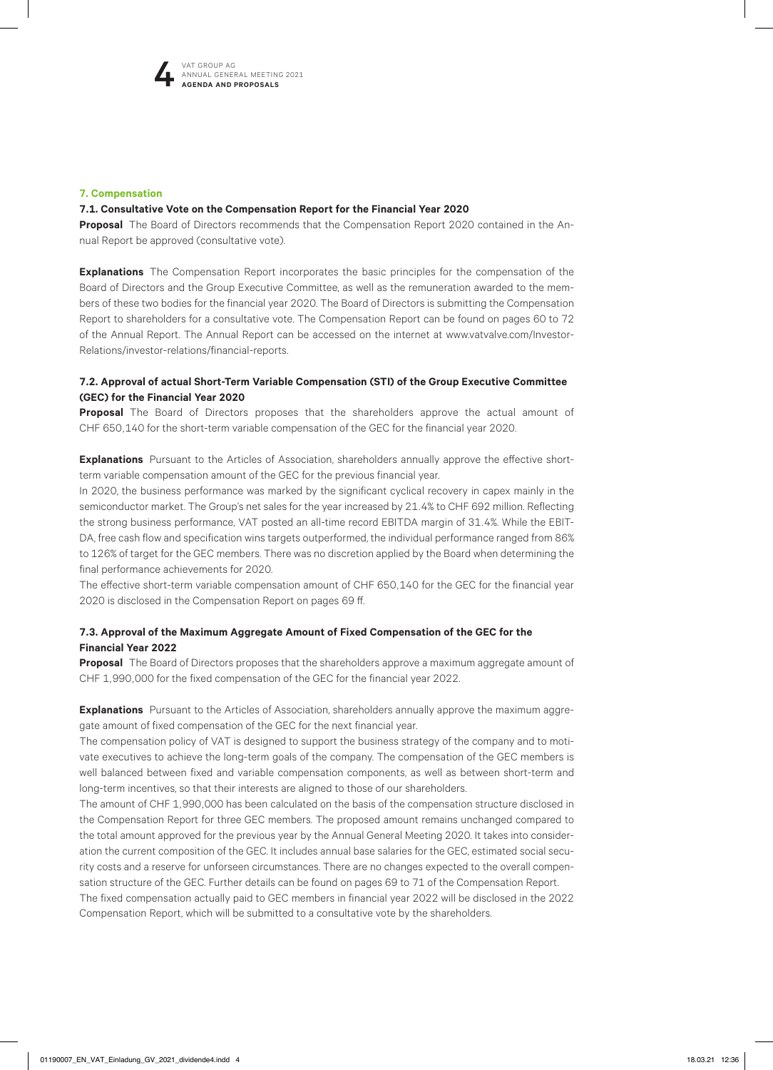

#### **7. Compensation**

#### **7.1. Consultative Vote on the Compensation Report for the Financial Year 2020**

**Proposal** The Board of Directors recommends that the Compensation Report 2020 contained in the Annual Report be approved (consultative vote).

**Explanations** The Compensation Report incorporates the basic principles for the compensation of the Board of Directors and the Group Executive Committee, as well as the remuneration awarded to the members of these two bodies for the financial year 2020. The Board of Directors is submitting the Compensation Report to shareholders for a consultative vote. The Compensation Report can be found on pages 60 to 72 of the Annual Report. The Annual Report can be accessed on the internet at www.vatvalve.com/Investor-Relations/investor-relations/financial-reports.

#### **7.2. Approval of actual Short-Term Variable Compensation (STI) of the Group Executive Committee (GEC) for the Financial Year 2020**

**Proposal** The Board of Directors proposes that the shareholders approve the actual amount of CHF 650,140 for the short-term variable compensation of the GEC for the financial year 2020.

**Explanations** Pursuant to the Articles of Association, shareholders annually approve the effective shortterm variable compensation amount of the GEC for the previous financial year.

In 2020, the business performance was marked by the significant cyclical recovery in capex mainly in the semiconductor market. The Group's net sales for the year increased by 21.4% to CHF 692 million. Reflecting the strong business performance, VAT posted an all-time record EBITDA margin of 31.4%. While the EBIT-DA, free cash flow and specification wins targets outperformed, the individual performance ranged from 86% to 126% of target for the GEC members. There was no discretion applied by the Board when determining the final performance achievements for 2020.

The effective short-term variable compensation amount of CHF 650,140 for the GEC for the financial year 2020 is disclosed in the Compensation Report on pages 69 ff.

#### **7.3. Approval of the Maximum Aggregate Amount of Fixed Compensation of the GEC for the Financial Year 2022**

**Proposal** The Board of Directors proposes that the shareholders approve a maximum aggregate amount of CHF 1,990,000 for the fixed compensation of the GEC for the financial year 2022.

**Explanations** Pursuant to the Articles of Association, shareholders annually approve the maximum aggregate amount of fixed compensation of the GEC for the next financial year.

The compensation policy of VAT is designed to support the business strategy of the company and to motivate executives to achieve the long-term goals of the company. The compensation of the GEC members is well balanced between fixed and variable compensation components, as well as between short-term and long-term incentives, so that their interests are aligned to those of our shareholders.

The amount of CHF 1,990,000 has been calculated on the basis of the compensation structure disclosed in the Compensation Report for three GEC members. The proposed amount remains unchanged compared to the total amount approved for the previous year by the Annual General Meeting 2020. It takes into consideration the current composition of the GEC. It includes annual base salaries for the GEC, estimated social security costs and a reserve for unforseen circumstances. There are no changes expected to the overall compensation structure of the GEC. Further details can be found on pages 69 to 71 of the Compensation Report.

The fixed compensation actually paid to GEC members in financial year 2022 will be disclosed in the 2022 Compensation Report, which will be submitted to a consultative vote by the shareholders.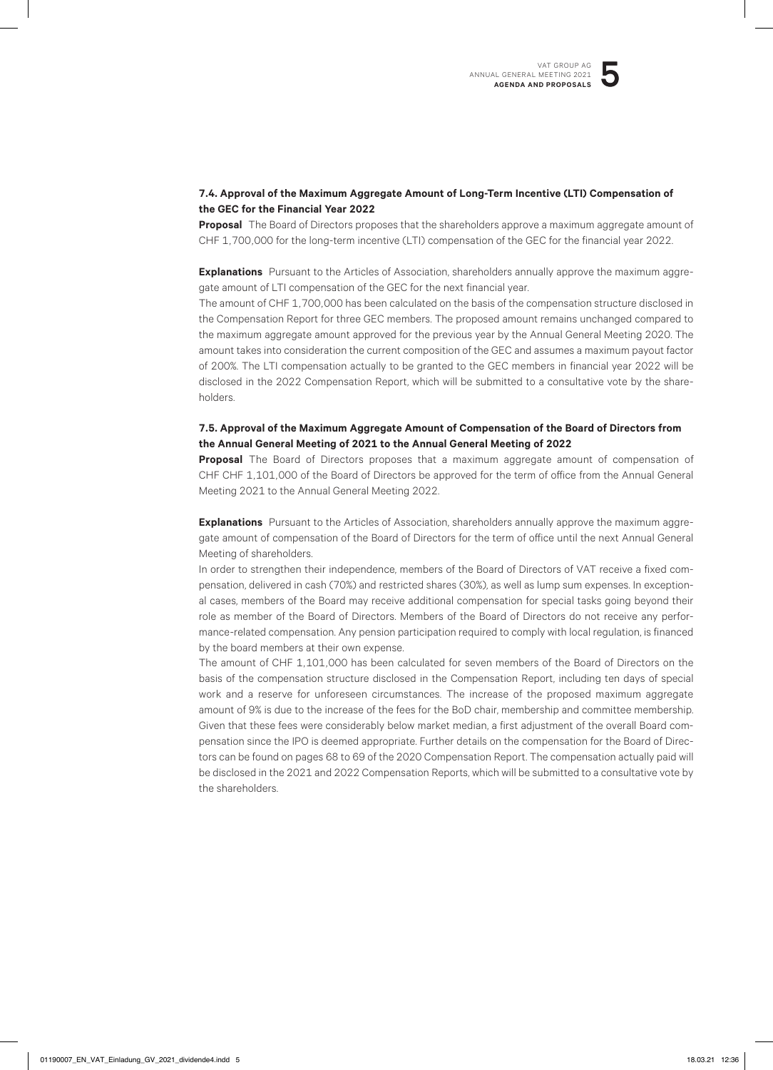#### **7.4. Approval of the Maximum Aggregate Amount of Long-Term Incentive (LTI) Compensation of the GEC for the Financial Year 2022**

**Proposal** The Board of Directors proposes that the shareholders approve a maximum aggregate amount of CHF 1,700,000 for the long-term incentive (LTI) compensation of the GEC for the financial year 2022.

**Explanations** Pursuant to the Articles of Association, shareholders annually approve the maximum aggregate amount of LTI compensation of the GEC for the next financial year.

The amount of CHF 1,700,000 has been calculated on the basis of the compensation structure disclosed in the Compensation Report for three GEC members. The proposed amount remains unchanged compared to the maximum aggregate amount approved for the previous year by the Annual General Meeting 2020. The amount takes into consideration the current composition of the GEC and assumes a maximum payout factor of 200%. The LTI compensation actually to be granted to the GEC members in financial year 2022 will be disclosed in the 2022 Compensation Report, which will be submitted to a consultative vote by the shareholders.

#### **7.5. Approval of the Maximum Aggregate Amount of Compensation of the Board of Directors from the Annual General Meeting of 2021 to the Annual General Meeting of 2022**

**Proposal** The Board of Directors proposes that a maximum aggregate amount of compensation of CHF CHF 1,101,000 of the Board of Directors be approved for the term of office from the Annual General Meeting 2021 to the Annual General Meeting 2022.

**Explanations** Pursuant to the Articles of Association, shareholders annually approve the maximum aggregate amount of compensation of the Board of Directors for the term of office until the next Annual General Meeting of shareholders.

In order to strengthen their independence, members of the Board of Directors of VAT receive a fixed compensation, delivered in cash (70%) and restricted shares (30%), as well as lump sum expenses. In exceptional cases, members of the Board may receive additional compensation for special tasks going beyond their role as member of the Board of Directors. Members of the Board of Directors do not receive any performance-related compensation. Any pension participation required to comply with local regulation, is financed by the board members at their own expense.

The amount of CHF 1,101,000 has been calculated for seven members of the Board of Directors on the basis of the compensation structure disclosed in the Compensation Report, including ten days of special work and a reserve for unforeseen circumstances. The increase of the proposed maximum aggregate amount of 9% is due to the increase of the fees for the BoD chair, membership and committee membership. Given that these fees were considerably below market median, a first adjustment of the overall Board compensation since the IPO is deemed appropriate. Further details on the compensation for the Board of Directors can be found on pages 68 to 69 of the 2020 Compensation Report. The compensation actually paid will be disclosed in the 2021 and 2022 Compensation Reports, which will be submitted to a consultative vote by the shareholders.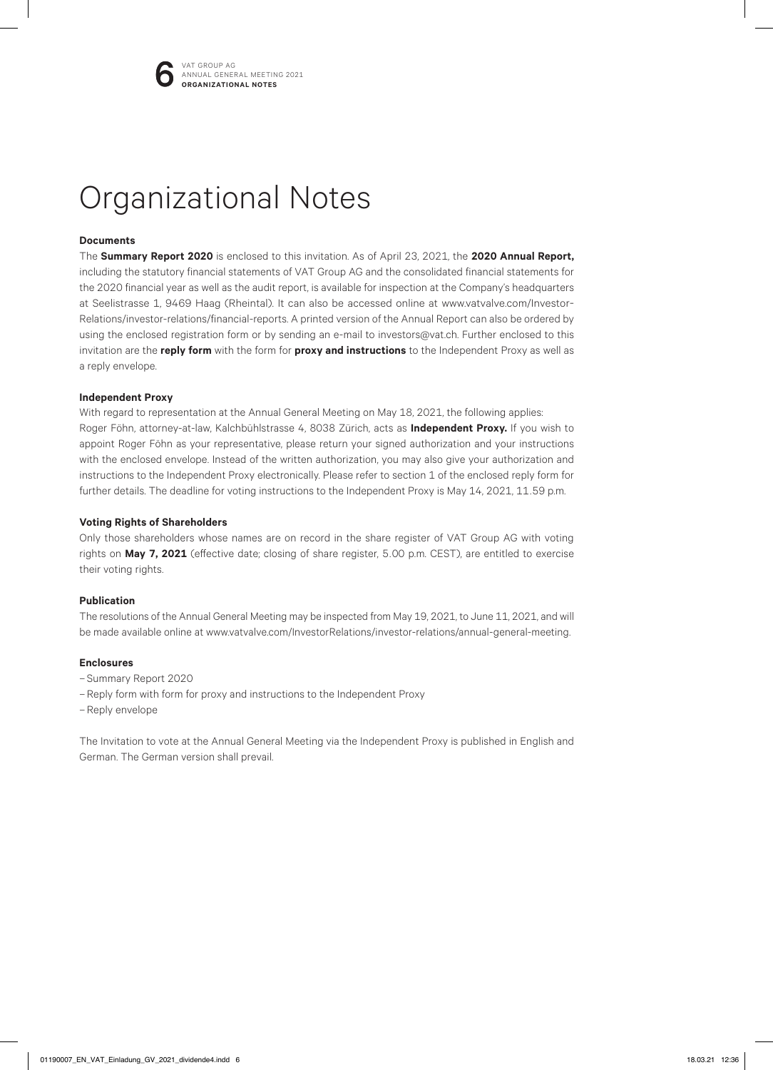

## Organizational Notes

#### **Documents**

The **Summary Report 2020** is enclosed to this invitation. As of April 23, 2021, the **2020 Annual Report,** including the statutory financial statements of VAT Group AG and the consolidated financial statements for the 2020 financial year as well as the audit report, is available for inspection at the Company's headquarters at Seelistrasse 1, 9469 Haag (Rheintal). It can also be accessed online at www.vatvalve.com/Investor-Relations/investor-relations/financial-reports. A printed version of the Annual Report can also be ordered by using the enclosed registration form or by sending an e-mail to investors@vat.ch. Further enclosed to this invitation are the **reply form** with the form for **proxy and instructions** to the Independent Proxy as well as a reply envelope.

#### **Independent Proxy**

With regard to representation at the Annual General Meeting on May 18, 2021, the following applies: Roger Föhn, attorney-at-law, Kalchbühlstrasse 4, 8038 Zürich, acts as **Independent Proxy.** If you wish to appoint Roger Föhn as your representative, please return your signed authorization and your instructions with the enclosed envelope. Instead of the written authorization, you may also give your authorization and instructions to the Independent Proxy electronically. Please refer to section 1 of the enclosed reply form for further details. The deadline for voting instructions to the Independent Proxy is May 14, 2021, 11.59 p.m.

#### **Voting Rights of Shareholders**

Only those shareholders whose names are on record in the share register of VAT Group AG with voting rights on **May 7, 2021** (effective date; closing of share register, 5.00 p.m. CEST), are entitled to exercise their voting rights.

#### **Publication**

The resolutions of the Annual General Meeting may be inspected from May 19, 2021, to June 11, 2021, and will be made available online at www.vatvalve.com/InvestorRelations/investor-relations/annual-general-meeting.

#### **Enclosures**

- Summary Report 2020
- Reply form with form for proxy and instructions to the Independent Proxy
- Reply envelope

The Invitation to vote at the Annual General Meeting via the Independent Proxy is published in English and German. The German version shall prevail.